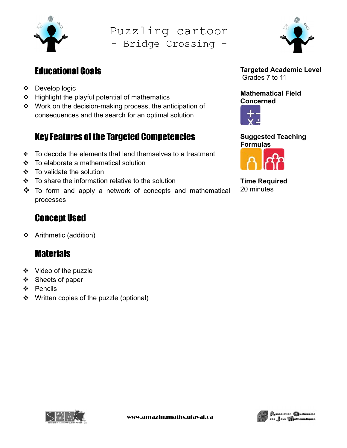

Puzzling cartoon - Bridge Crossing -

## Educational Goals

- Develop logic
- ❖ Highlight the playful potential of mathematics
- Work on the decision-making process, the anticipation of consequences and the search for an optimal solution

# Key Features of the Targeted Competencies

- $\cdot$  To decode the elements that lend themselves to a treatment
- To elaborate a mathematical solution
- To validate the solution
- $\div$  To share the information relative to the solution
- $\clubsuit$  To form and apply a network of concepts and mathematical processes

### Concept Used

Arithmetic (addition)

## **Materials**

- ❖ Video of the puzzle
- Sheets of paper
- ❖ Pencils
- ❖ Written copies of the puzzle (optional)



Targeted Academic Level Grades 7 to 11

Mathematical Field Concerned



Suggested Teaching Formulas



ļ.

Time Required 20 minutes



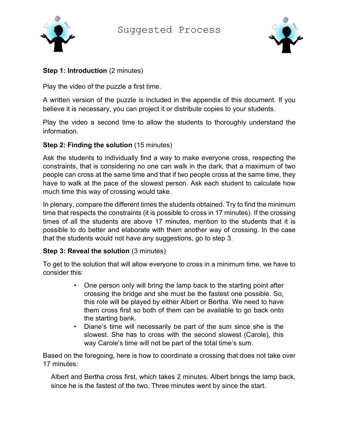Suggested Process





#### Step 1: Introduction (2 minutes)

Play the video of the puzzle a first time.

A written version of the puzzle is included in the appendix of this document. If you believe it is necessary, you can project it or distribute copies to your students.

Play the video a second time to allow the students to thoroughly understand the information.

#### Step 2: Finding the solution (15 minutes)

Ask the students to individually find a way to make everyone cross, respecting the constraints, that is considering no one can walk in the dark, that a maximum of two people can cross at the same time and that if two people cross at the same time, they have to walk at the pace of the slowest person. Ask each student to calculate how much time this way of crossing would take.

In plenary, compare the different times the students obtained. Try to find the minimum time that respects the constraints (it is possible to cross in 17 minutes). If the crossing times of all the students are above 17 minutes, mention to the students that it is possible to do better and elaborate with them another way of crossing. In the case that the students would not have any suggestions, go to step 3.

#### Step 3: Reveal the solution (3 minutes)

To get to the solution that will allow everyone to cross in a minimum time, we have to consider this:

- One person only will bring the lamp back to the starting point after crossing the bridge and she must be the fastest one possible. So, this role will be played by either Albert or Bertha. We need to have them cross first so both of them can be available to go back onto the starting bank.
- Diane's time will necessarily be part of the sum since she is the slowest. She has to cross with the second slowest (Carole), this way Carole's time will not be part of the total time's sum.

Based on the foregoing, here is how to coordinate a crossing that does not take over 17 minutes:

Albert and Bertha cross first, which takes 2 minutes. Albert brings the lamp back, since he is the fastest of the two. Three minutes went by since the start.